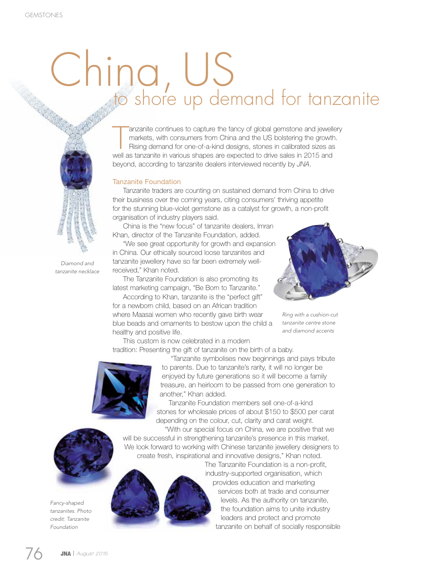## China, US to shore up demand for tanzanite

anzanite continues to capture the fancy of global gemstone and jewell<br>markets, with consumers from China and the US bolstering the growth<br>Rising demand for one-of-a-kind designs, stones in calibrated sizes as<br>well as tanza anzanite continues to capture the fancy of global gemstone and jewellery markets, with consumers from China and the US bolstering the growth. Rising demand for one-of-a-kind designs, stones in calibrated sizes as beyond, according to tanzanite dealers interviewed recently by *JNA*.

## Tanzanite Foundation

Tanzanite traders are counting on sustained demand from China to drive their business over the coming years, citing consumers' thriving appetite for the stunning blue-violet gemstone as a catalyst for growth, a non-profit organisation of industry players said.

China is the "new focus" of tanzanite dealers, Imran Khan, director of the Tanzanite Foundation, added.

"We see great opportunity for growth and expansion in China. Our ethically sourced loose tanzanites and tanzanite jewellery have so far been extremely wellreceived," Khan noted.

The Tanzanite Foundation is also promoting its latest marketing campaign, "Be Born to Tanzanite."

According to Khan, tanzanite is the "perfect gift" for a newborn child, based on an African tradition where Maasai women who recently gave birth wear blue beads and ornaments to bestow upon the child a healthy and positive life.



*Ring with a cushion-cut tanzanite centre stone and diamond accents*

This custom is now celebrated in a modern tradition: Presenting the gift of tanzanite on the birth of a baby.



"Tanzanite symbolises new beginnings and pays tribute to parents. Due to tanzanite's rarity, it will no longer be enjoyed by future generations so it will become a family treasure, an heirloom to be passed from one generation to another," Khan added.

Tanzanite Foundation members sell one-of-a-kind stones for wholesale prices of about \$150 to \$500 per carat depending on the colour, cut, clarity and carat weight.

"With our special focus on China, we are positive that we will be successful in strengthening tanzanite's presence in this market. We look forward to working with Chinese tanzanite jewellery designers to create fresh, inspirational and innovative designs," Khan noted.

> The Tanzanite Foundation is a non-profit, industry-supported organisation, which provides education and marketing services both at trade and consumer levels. As the authority on tanzanite, the foundation aims to unite industry leaders and protect and promote tanzanite on behalf of socially responsible

*Fancy-shaped tanzanites. Photo credit: Tanzanite* 

*Foundation*



*Diamond and tanzanite necklace*

76